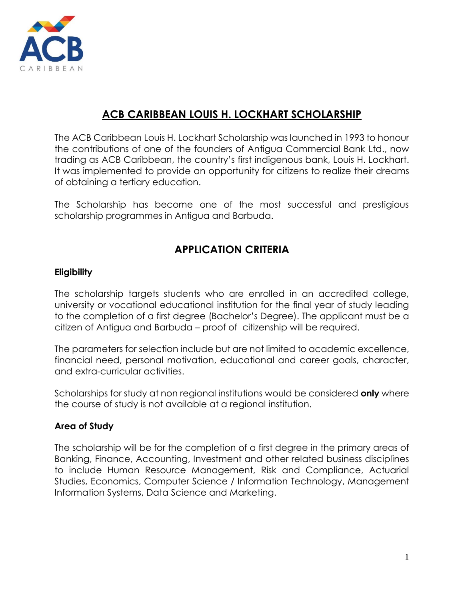

## ACB CARIBBEAN LOUIS H. LOCKHART SCHOLARSHIP

The ACB Caribbean Louis H. Lockhart Scholarship was launched in 1993 to honour the contributions of one of the founders of Antigua Commercial Bank Ltd., now trading as ACB Caribbean, the country's first indigenous bank, Louis H. Lockhart. It was implemented to provide an opportunity for citizens to realize their dreams of obtaining a tertiary education.

The Scholarship has become one of the most successful and prestigious scholarship programmes in Antigua and Barbuda.

# APPLICATION CRITERIA

## **Eligibility**

The scholarship targets students who are enrolled in an accredited college, university or vocational educational institution for the final year of study leading to the completion of a first degree (Bachelor's Degree). The applicant must be a citizen of Antigua and Barbuda – proof of citizenship will be required.

The parameters for selection include but are not limited to academic excellence, financial need, personal motivation, educational and career goals, character, and extra-curricular activities.

Scholarships for study at non regional institutions would be considered only where the course of study is not available at a regional institution.

#### Area of Study

The scholarship will be for the completion of a first degree in the primary areas of Banking, Finance, Accounting, Investment and other related business disciplines to include Human Resource Management, Risk and Compliance, Actuarial Studies, Economics, Computer Science / Information Technology, Management Information Systems, Data Science and Marketing.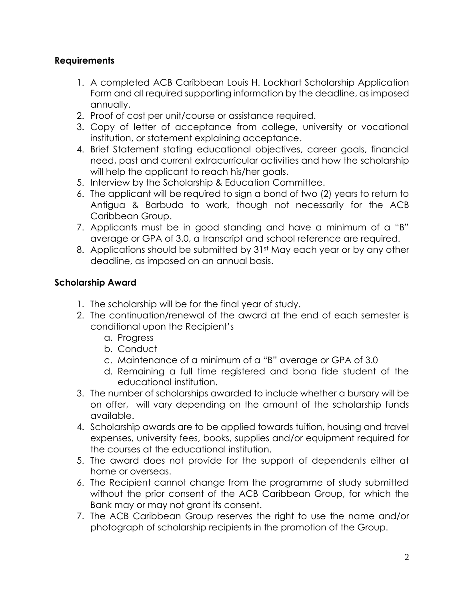## **Requirements**

- 1. A completed ACB Caribbean Louis H. Lockhart Scholarship Application Form and all required supporting information by the deadline, as imposed annually.
- 2. Proof of cost per unit/course or assistance required.
- 3. Copy of letter of acceptance from college, university or vocational institution, or statement explaining acceptance.
- 4. Brief Statement stating educational objectives, career goals, financial need, past and current extracurricular activities and how the scholarship will help the applicant to reach his/her goals.
- 5. Interview by the Scholarship & Education Committee.
- 6. The applicant will be required to sign a bond of two (2) years to return to Antigua & Barbuda to work, though not necessarily for the ACB Caribbean Group.
- 7. Applicants must be in good standing and have a minimum of a "B" average or GPA of 3.0, a transcript and school reference are required.
- 8. Applications should be submitted by 31<sup>st</sup> May each year or by any other deadline, as imposed on an annual basis.

## Scholarship Award

- 1. The scholarship will be for the final year of study.
- 2. The continuation/renewal of the award at the end of each semester is conditional upon the Recipient's
	- a. Progress
	- b. Conduct
	- c. Maintenance of a minimum of a "B" average or GPA of 3.0
	- d. Remaining a full time registered and bona fide student of the educational institution.
- 3. The number of scholarships awarded to include whether a bursary will be on offer, will vary depending on the amount of the scholarship funds available.
- 4. Scholarship awards are to be applied towards tuition, housing and travel expenses, university fees, books, supplies and/or equipment required for the courses at the educational institution.
- 5. The award does not provide for the support of dependents either at home or overseas.
- 6. The Recipient cannot change from the programme of study submitted without the prior consent of the ACB Caribbean Group, for which the Bank may or may not grant its consent.
- 7. The ACB Caribbean Group reserves the right to use the name and/or photograph of scholarship recipients in the promotion of the Group.